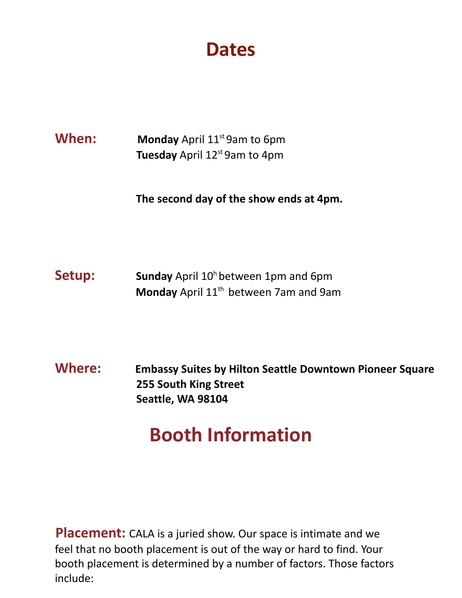**Dates**

#### **When:** Monday April 11<sup>st</sup> 9am to 6pm **Tuesday** April 12<sup>st</sup> 9am to 4pm

**The second day of the show ends at 4pm.**

**Setup:** Sunday April 10<sup>h</sup> between 1pm and 6pm **Monday** April 11<sup>th</sup> between 7am and 9am

**Where: Embassy Suites by Hilton Seattle Downtown Pioneer Square 255 South King Street Seattle, WA 98104**

### **Booth Information**

**Placement:** CALA is a juried show. Our space is intimate and we feel that no booth placement is out of the way or hard to find. Your booth placement is determined by a number of factors. Those factors include: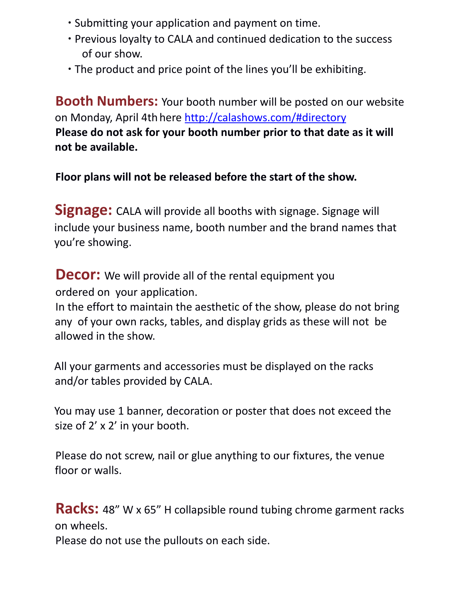- ∙ Submitting your application and payment on time.
- ∙ Previous loyalty to CALA and continued dedication to the success of our show.
- ∙ The product and price point of the lines you'll be exhibiting.

**Booth Numbers:** Your booth number will be posted on our website on Monday, April 4th here http://calashows.com/#directory **Please do not ask for your booth number prior to that date as it will not be available.**

**Floor plans will not be released before the start of the show.**

**Signage:** CALA will provide all booths with signage. Signage will include your business name, booth number and the brand names that you're showing.

**Decor:** We will provide all of the rental equipment you ordered on your application.

In the effort to maintain the aesthetic of the show, please do not bring any of your own racks, tables, and display grids as these will not be allowed in the show.

All your garments and accessories must be displayed on the racks and/or tables provided by CALA.

You may use 1 banner, decoration or poster that does not exceed the size of 2' x 2' in your booth.

Please do not screw, nail or glue anything to our fixtures, the venue floor or walls.

**Racks:** 48" W x 65" H collapsible round tubing chrome garment racks on wheels.

Please do not use the pullouts on each side.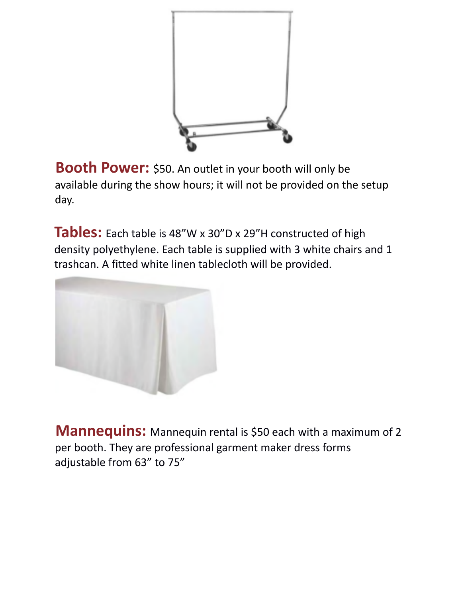

**Booth Power:** \$50. An outlet in your booth will only be available during the show hours; it will not be provided on the setup day.

**Tables:** Each table is 48"W x 30"D x 29"H constructed of high density polyethylene. Each table is supplied with 3 white chairs and 1 trashcan. A fitted white linen tablecloth will be provided.



**Mannequins:** Mannequin rental is \$50 each with a maximum of 2 per booth. They are professional garment maker dress forms adjustable from 63" to 75"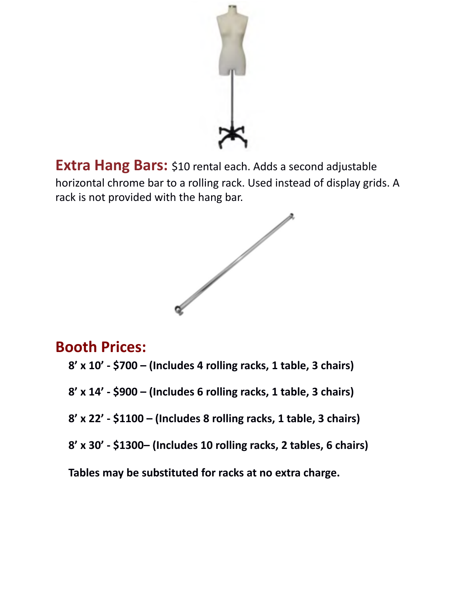

**Extra Hang Bars:** \$10 rental each. Adds a second adjustable horizontal chrome bar to a rolling rack. Used instead of display grids. A rack is not provided with the hang bar.



### **Booth Prices:**

- **8' x 10' - \$700 – (Includes 4 rolling racks, 1 table, 3 chairs)**
- **8' x 14' - \$900 – (Includes 6 rolling racks, 1 table, 3 chairs)**
- **8' x 22' - \$1100 – (Includes 8 rolling racks, 1 table, 3 chairs)**
- **8' x 30' - \$1300– (Includes 10 rolling racks, 2 tables, 6 chairs)**

**Tables may be substituted for racks at no extra charge.**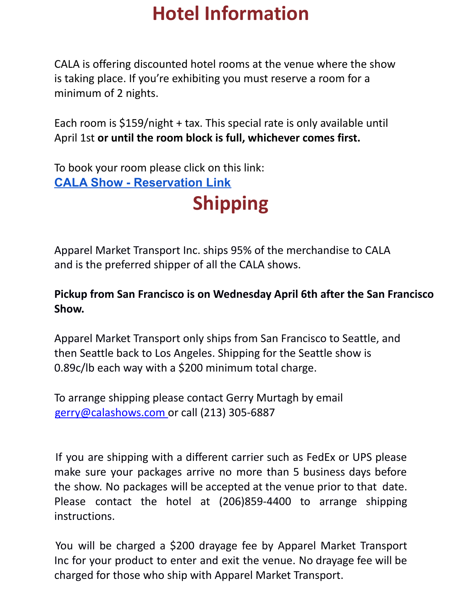# **Hotel Information**

CALA is offering discounted hotel rooms at the venue where the show is taking place. If you're exhibiting you must reserve a room for a minimum of 2 nights.

Each room is \$159/night + tax. This special rate is only available until April 1st **or until the room block is full, whichever comes first.**

To book your room please click on this link: **CALA Show - [Reservation](https://www.hilton.com/en/book/reservation/deeplink/?ctyhocn=SEAPSES&groupCode=CESCAL&arrivaldate=2022-04-10&departuredate=2022-04-12&cid=OM,WW,HILTONLINK,EN,DirectLink&fromId=HILTONLINKDIRECT) Link**

**Shipping**

Apparel Market Transport Inc. ships 95% of the merchandise to CALA and is the preferred shipper of all the CALA shows.

#### **Pickup from San Francisco is on Wednesday April 6th after the San Francisco Show.**

Apparel Market Transport only ships from San Francisco to Seattle, and then Seattle back to Los Angeles. Shipping for the Seattle show is 0.89c/lb each way with a \$200 minimum total charge.

To arrange shipping please contact Gerry Murtagh by email gerry@calashows.com or call (213) 305-6887

If you are shipping with a different carrier such as FedEx or UPS please make sure your packages arrive no more than 5 business days before the show. No packages will be accepted at the venue prior to that date. Please contact the hotel at (206)859-4400 to arrange shipping instructions.

You will be charged a \$200 drayage fee by Apparel Market Transport Inc for your product to enter and exit the venue. No drayage fee will be charged for those who ship with Apparel Market Transport.